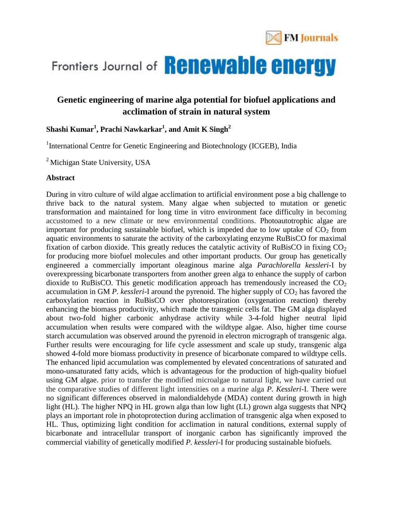

# Frontiers Journal of **Renewable energy**

### **Genetic engineering of marine alga potential for biofuel applications and acclimation of strain in natural system**

#### **Shashi Kumar<sup>1</sup> , Prachi Nawkarkar<sup>1</sup> , and Amit K Singh<sup>2</sup>**

<sup>1</sup>International Centre for Genetic Engineering and Biotechnology (ICGEB), India

<sup>2</sup> Michigan State University, USA

#### **Abstract**

During in vitro culture of wild algae acclimation to artificial environment pose a big challenge to thrive back to the natural system. Many algae when subjected to mutation or genetic transformation and maintained for long time in vitro environment face difficulty in becoming accustomed to a new climate or new environmental conditions. Photoautotrophic algae are important for producing sustainable biofuel, which is impeded due to low uptake of  $CO<sub>2</sub>$  from aquatic environments to saturate the activity of the carboxylating enzyme RuBisCO for maximal fixation of carbon dioxide. This greatly reduces the catalytic activity of RuBisCO in fixing  $CO<sub>2</sub>$ for producing more biofuel molecules and other important products. Our group has genetically engineered a commercially important oleaginous marine alga *Parachlorella kessleri*-I by overexpressing bicarbonate transporters from another green alga to enhance the supply of carbon dioxide to RuBisCO. This genetic modification approach has tremendously increased the  $CO<sub>2</sub>$ accumulation in GM  *around the pyrenoid. The higher supply of*  $CO<sub>2</sub>$  *has favored the* carboxylation reaction in RuBisCO over photorespiration (oxygenation reaction) thereby enhancing the biomass productivity, which made the transgenic cells fat. The GM alga displayed about two-fold higher carbonic anhydrase activity while 3-4-fold higher neutral lipid accumulation when results were compared with the wildtype algae. Also, higher time course starch accumulation was observed around the pyrenoid in electron micrograph of transgenic alga. Further results were encouraging for life cycle assessment and scale up study, transgenic alga showed 4-fold more biomass productivity in presence of bicarbonate compared to wildtype cells. The enhanced lipid accumulation was complemented by elevated concentrations of saturated and mono-unsaturated fatty acids, which is advantageous for the production of high-quality biofuel using GM algae. prior to transfer the modified microalgae to natural light, we have carried out the comparative studies of different light intensities on a marine alga *P. Kessleri*-I. There were no significant differences observed in malondialdehyde (MDA) content during growth in high light (HL). The higher NPQ in HL grown alga than low light (LL) grown alga suggests that NPQ plays an important role in photoprotection during acclimation of transgenic alga when exposed to HL. Thus, optimizing light condition for acclimation in natural conditions, external supply of bicarbonate and intracellular transport of inorganic carbon has significantly improved the commercial viability of genetically modified *P. kessleri*-I for producing sustainable biofuels.